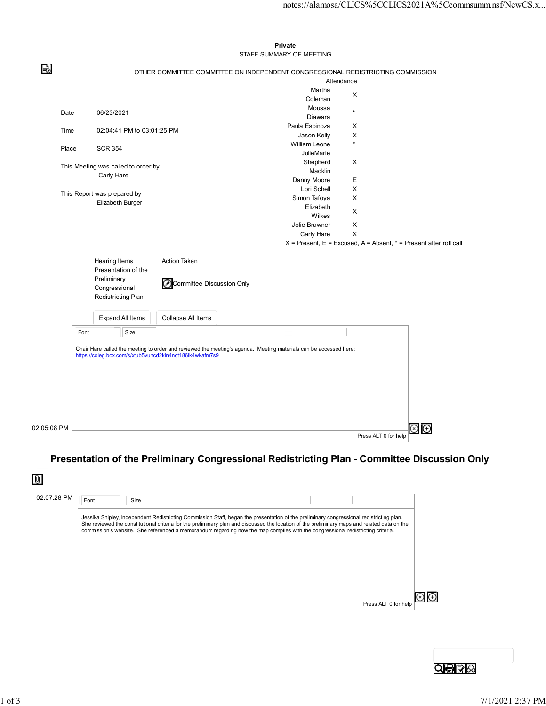|             |                               |                                                                                                                                                                                                       |                                                                                         |                                                                                                                                                                            | notes://alamosa/CLICS%5CCLICS2021A%5Ccommsumm.nsf/NewCS.x                                                                                                                                                                                                                                         |                                                                                 |                                                                       |
|-------------|-------------------------------|-------------------------------------------------------------------------------------------------------------------------------------------------------------------------------------------------------|-----------------------------------------------------------------------------------------|----------------------------------------------------------------------------------------------------------------------------------------------------------------------------|---------------------------------------------------------------------------------------------------------------------------------------------------------------------------------------------------------------------------------------------------------------------------------------------------|---------------------------------------------------------------------------------|-----------------------------------------------------------------------|
|             |                               |                                                                                                                                                                                                       |                                                                                         |                                                                                                                                                                            |                                                                                                                                                                                                                                                                                                   |                                                                                 |                                                                       |
|             |                               |                                                                                                                                                                                                       |                                                                                         |                                                                                                                                                                            |                                                                                                                                                                                                                                                                                                   |                                                                                 |                                                                       |
|             |                               |                                                                                                                                                                                                       | Private<br>STAFF SUMMARY OF MEETING                                                     |                                                                                                                                                                            |                                                                                                                                                                                                                                                                                                   |                                                                                 |                                                                       |
|             |                               |                                                                                                                                                                                                       |                                                                                         |                                                                                                                                                                            |                                                                                                                                                                                                                                                                                                   |                                                                                 |                                                                       |
|             |                               |                                                                                                                                                                                                       |                                                                                         |                                                                                                                                                                            |                                                                                                                                                                                                                                                                                                   |                                                                                 |                                                                       |
|             |                               |                                                                                                                                                                                                       |                                                                                         | X                                                                                                                                                                          |                                                                                                                                                                                                                                                                                                   |                                                                                 |                                                                       |
|             |                               |                                                                                                                                                                                                       | Moussa                                                                                  |                                                                                                                                                                            |                                                                                                                                                                                                                                                                                                   |                                                                                 |                                                                       |
|             |                               |                                                                                                                                                                                                       | Diawara                                                                                 |                                                                                                                                                                            |                                                                                                                                                                                                                                                                                                   |                                                                                 |                                                                       |
|             |                               |                                                                                                                                                                                                       |                                                                                         |                                                                                                                                                                            |                                                                                                                                                                                                                                                                                                   |                                                                                 |                                                                       |
|             |                               |                                                                                                                                                                                                       |                                                                                         | $\star$                                                                                                                                                                    |                                                                                                                                                                                                                                                                                                   |                                                                                 |                                                                       |
|             | <b>SCR 354</b>                |                                                                                                                                                                                                       |                                                                                         |                                                                                                                                                                            |                                                                                                                                                                                                                                                                                                   |                                                                                 |                                                                       |
|             |                               |                                                                                                                                                                                                       | Shepherd                                                                                | $\mathsf{X}$                                                                                                                                                               |                                                                                                                                                                                                                                                                                                   |                                                                                 |                                                                       |
|             |                               |                                                                                                                                                                                                       | Macklin                                                                                 |                                                                                                                                                                            |                                                                                                                                                                                                                                                                                                   |                                                                                 |                                                                       |
|             |                               |                                                                                                                                                                                                       |                                                                                         |                                                                                                                                                                            |                                                                                                                                                                                                                                                                                                   |                                                                                 |                                                                       |
|             |                               |                                                                                                                                                                                                       |                                                                                         |                                                                                                                                                                            |                                                                                                                                                                                                                                                                                                   |                                                                                 |                                                                       |
|             |                               |                                                                                                                                                                                                       | Elizabeth                                                                               |                                                                                                                                                                            |                                                                                                                                                                                                                                                                                                   |                                                                                 |                                                                       |
|             |                               |                                                                                                                                                                                                       | Wilkes                                                                                  |                                                                                                                                                                            |                                                                                                                                                                                                                                                                                                   |                                                                                 |                                                                       |
|             |                               |                                                                                                                                                                                                       | Jolie Brawner                                                                           | X                                                                                                                                                                          |                                                                                                                                                                                                                                                                                                   |                                                                                 |                                                                       |
|             |                               |                                                                                                                                                                                                       |                                                                                         |                                                                                                                                                                            |                                                                                                                                                                                                                                                                                                   |                                                                                 |                                                                       |
|             |                               |                                                                                                                                                                                                       |                                                                                         |                                                                                                                                                                            |                                                                                                                                                                                                                                                                                                   |                                                                                 |                                                                       |
|             |                               | Action Taken                                                                                                                                                                                          |                                                                                         |                                                                                                                                                                            |                                                                                                                                                                                                                                                                                                   |                                                                                 |                                                                       |
|             |                               |                                                                                                                                                                                                       |                                                                                         |                                                                                                                                                                            |                                                                                                                                                                                                                                                                                                   |                                                                                 |                                                                       |
|             |                               |                                                                                                                                                                                                       |                                                                                         |                                                                                                                                                                            |                                                                                                                                                                                                                                                                                                   |                                                                                 |                                                                       |
|             |                               |                                                                                                                                                                                                       |                                                                                         |                                                                                                                                                                            |                                                                                                                                                                                                                                                                                                   |                                                                                 |                                                                       |
|             |                               |                                                                                                                                                                                                       |                                                                                         |                                                                                                                                                                            |                                                                                                                                                                                                                                                                                                   |                                                                                 |                                                                       |
|             |                               |                                                                                                                                                                                                       |                                                                                         |                                                                                                                                                                            |                                                                                                                                                                                                                                                                                                   |                                                                                 |                                                                       |
|             |                               |                                                                                                                                                                                                       |                                                                                         |                                                                                                                                                                            |                                                                                                                                                                                                                                                                                                   |                                                                                 |                                                                       |
|             |                               |                                                                                                                                                                                                       |                                                                                         |                                                                                                                                                                            |                                                                                                                                                                                                                                                                                                   |                                                                                 |                                                                       |
|             |                               |                                                                                                                                                                                                       |                                                                                         |                                                                                                                                                                            |                                                                                                                                                                                                                                                                                                   |                                                                                 |                                                                       |
|             |                               |                                                                                                                                                                                                       |                                                                                         |                                                                                                                                                                            |                                                                                                                                                                                                                                                                                                   |                                                                                 |                                                                       |
|             |                               |                                                                                                                                                                                                       |                                                                                         |                                                                                                                                                                            |                                                                                                                                                                                                                                                                                                   |                                                                                 |                                                                       |
|             |                               |                                                                                                                                                                                                       |                                                                                         |                                                                                                                                                                            |                                                                                                                                                                                                                                                                                                   |                                                                                 |                                                                       |
|             |                               |                                                                                                                                                                                                       |                                                                                         |                                                                                                                                                                            |                                                                                                                                                                                                                                                                                                   |                                                                                 |                                                                       |
|             |                               |                                                                                                                                                                                                       |                                                                                         |                                                                                                                                                                            |                                                                                                                                                                                                                                                                                                   |                                                                                 |                                                                       |
|             |                               |                                                                                                                                                                                                       |                                                                                         |                                                                                                                                                                            |                                                                                                                                                                                                                                                                                                   |                                                                                 |                                                                       |
| 02:05:08 PM |                               |                                                                                                                                                                                                       |                                                                                         |                                                                                                                                                                            | $\circledcirc$ $\circledcirc$<br>Press ALT 0 for help                                                                                                                                                                                                                                             |                                                                                 |                                                                       |
|             | Date<br>Time<br>Place<br>Font | 06/23/2021<br>Carly Hare<br>This Report was prepared by<br>Elizabeth Burger<br>Hearing Items<br>Presentation of the<br>Preliminary<br>Congressional<br>Redistricting Plan<br>Expand All Items<br>Size | 02:04:41 PM to 03:01:25 PM<br>This Meeting was called to order by<br>Collapse All Items | Martha<br>Coleman<br>Paula Espinoza<br>Jason Kelly<br>William Leone<br>JulieMarie<br>Danny Moore<br>Lori Schell<br>Simon Tafoya<br>Carly Hare<br>Committee Discussion Only | Attendance<br>$\star$<br>X<br>$\boldsymbol{\mathsf{X}}$<br>E<br>$\times$<br>$\times$<br>$\mathsf{X}$<br>$\times$<br>Chair Hare called the meeting to order and reviewed the meeting's agenda. Meeting materials can be accessed here:<br>https://coleg.box.com/s/xtub5vuncd2kin4nct186lk4wkafm7s9 | OTHER COMMITTEE COMMITTEE ON INDEPENDENT CONGRESSIONAL REDISTRICTING COMMISSION | $X$ = Present, E = Excused, A = Absent, $*$ = Present after roll call |

## Presentation of the Preliminary Congressional Redistricting Plan - Committee Discussion Only

| 02:07:28 PM | Font | Size |                                                                                                                                                                                                                                                                                                                                                                                                                             |  |                      |  |
|-------------|------|------|-----------------------------------------------------------------------------------------------------------------------------------------------------------------------------------------------------------------------------------------------------------------------------------------------------------------------------------------------------------------------------------------------------------------------------|--|----------------------|--|
|             |      |      | Jessika Shipley, Independent Redistricting Commission Staff, began the presentation of the preliminary congressional redistricting plan.<br>She reviewed the constitutional criteria for the preliminary plan and discussed the location of the preliminary maps and related data on the<br>commission's website. She referenced a memorandum regarding how the map complies with the congressional redistricting criteria. |  |                      |  |
|             |      |      |                                                                                                                                                                                                                                                                                                                                                                                                                             |  |                      |  |
|             |      |      |                                                                                                                                                                                                                                                                                                                                                                                                                             |  | Press ALT 0 for help |  |

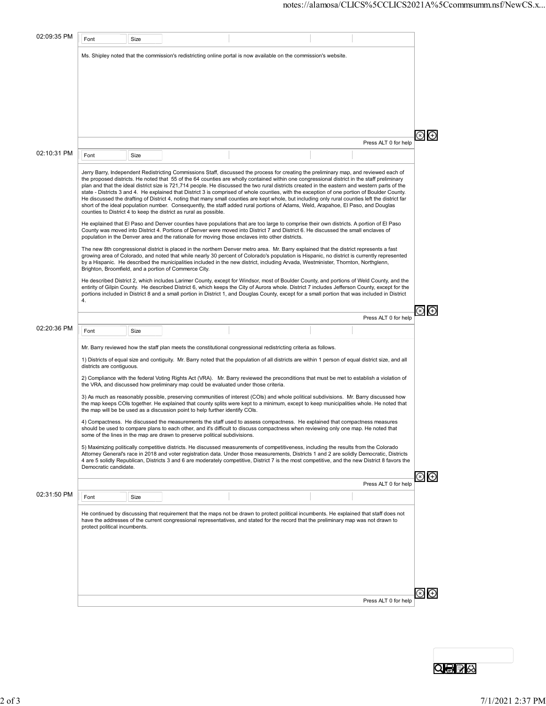| 02:09:35 PM | Font                                                                                                                                                                                                                                                                                                                                                                                                                                                                                                                                                                                                                                                                                                                                                                                                                                                                       | Size |                                                                                     |                                                                                                                                                                                                                                                                                                                                                                                                                                                                                                                                                                                                                                                                                                                                                                                                                                                                                                                                                                                                                            |  |                      |             |  |  |  |  |  |
|-------------|----------------------------------------------------------------------------------------------------------------------------------------------------------------------------------------------------------------------------------------------------------------------------------------------------------------------------------------------------------------------------------------------------------------------------------------------------------------------------------------------------------------------------------------------------------------------------------------------------------------------------------------------------------------------------------------------------------------------------------------------------------------------------------------------------------------------------------------------------------------------------|------|-------------------------------------------------------------------------------------|----------------------------------------------------------------------------------------------------------------------------------------------------------------------------------------------------------------------------------------------------------------------------------------------------------------------------------------------------------------------------------------------------------------------------------------------------------------------------------------------------------------------------------------------------------------------------------------------------------------------------------------------------------------------------------------------------------------------------------------------------------------------------------------------------------------------------------------------------------------------------------------------------------------------------------------------------------------------------------------------------------------------------|--|----------------------|-------------|--|--|--|--|--|
|             |                                                                                                                                                                                                                                                                                                                                                                                                                                                                                                                                                                                                                                                                                                                                                                                                                                                                            |      |                                                                                     | Ms. Shipley noted that the commission's redistricting online portal is now available on the commission's website.                                                                                                                                                                                                                                                                                                                                                                                                                                                                                                                                                                                                                                                                                                                                                                                                                                                                                                          |  |                      |             |  |  |  |  |  |
|             |                                                                                                                                                                                                                                                                                                                                                                                                                                                                                                                                                                                                                                                                                                                                                                                                                                                                            |      |                                                                                     |                                                                                                                                                                                                                                                                                                                                                                                                                                                                                                                                                                                                                                                                                                                                                                                                                                                                                                                                                                                                                            |  |                      | $\circledR$ |  |  |  |  |  |
|             |                                                                                                                                                                                                                                                                                                                                                                                                                                                                                                                                                                                                                                                                                                                                                                                                                                                                            |      |                                                                                     |                                                                                                                                                                                                                                                                                                                                                                                                                                                                                                                                                                                                                                                                                                                                                                                                                                                                                                                                                                                                                            |  | Press ALT 0 for help |             |  |  |  |  |  |
| 02:10:31 PM | Font                                                                                                                                                                                                                                                                                                                                                                                                                                                                                                                                                                                                                                                                                                                                                                                                                                                                       | Size |                                                                                     |                                                                                                                                                                                                                                                                                                                                                                                                                                                                                                                                                                                                                                                                                                                                                                                                                                                                                                                                                                                                                            |  |                      |             |  |  |  |  |  |
|             |                                                                                                                                                                                                                                                                                                                                                                                                                                                                                                                                                                                                                                                                                                                                                                                                                                                                            |      | counties to District 4 to keep the district as rural as possible.                   | Jerry Barry, Independent Redistricting Commissions Staff, discussed the process for creating the preliminary map, and reviewed each of<br>the proposed districts. He noted that 55 of the 64 counties are wholly contained within one congressional district in the staff preliminary<br>plan and that the ideal district size is 721,714 people. He discussed the two rural districts created in the eastern and western parts of the<br>state - Districts 3 and 4. He explained that District 3 is comprised of whole counties, with the exception of one portion of Boulder County.<br>He discussed the drafting of District 4, noting that many small counties are kept whole, but including only rural counties left the district far<br>short of the ideal population number. Consequently, the staff added rural portions of Adams, Weld, Arapahoe, El Paso, and Douglas<br>He explained that El Paso and Denver counties have populations that are too large to comprise their own districts. A portion of El Paso |  |                      |             |  |  |  |  |  |
|             | County was moved into District 4. Portions of Denver were moved into District 7 and District 6. He discussed the small enclaves of<br>population in the Denver area and the rationale for moving those enclaves into other districts.<br>The new 8th congressional district is placed in the northern Denver metro area. Mr. Barry explained that the district represents a fast<br>growing area of Colorado, and noted that while nearly 30 percent of Colorado's population is Hispanic, no district is currently represented<br>by a Hispanic. He described the municipalities included in the new district, including Arvada, Westminister, Thornton, Northglenn,<br>Brighton, Broomfield, and a portion of Commerce City.<br>He described District 2, which includes Larimer County, except for Windsor, most of Boulder County, and portions of Weld County, and the |      |                                                                                     |                                                                                                                                                                                                                                                                                                                                                                                                                                                                                                                                                                                                                                                                                                                                                                                                                                                                                                                                                                                                                            |  |                      |             |  |  |  |  |  |
|             | 4.                                                                                                                                                                                                                                                                                                                                                                                                                                                                                                                                                                                                                                                                                                                                                                                                                                                                         |      |                                                                                     | entirity of Gilpin County. He described District 6, which keeps the City of Aurora whole. District 7 includes Jefferson County, except for the<br>portions included in District 8 and a small portion in District 1, and Douglas County, except for a small portion that was included in District                                                                                                                                                                                                                                                                                                                                                                                                                                                                                                                                                                                                                                                                                                                          |  |                      |             |  |  |  |  |  |
|             |                                                                                                                                                                                                                                                                                                                                                                                                                                                                                                                                                                                                                                                                                                                                                                                                                                                                            |      |                                                                                     |                                                                                                                                                                                                                                                                                                                                                                                                                                                                                                                                                                                                                                                                                                                                                                                                                                                                                                                                                                                                                            |  | Press ALT 0 for help |             |  |  |  |  |  |
| 02:20:36 PM | Font                                                                                                                                                                                                                                                                                                                                                                                                                                                                                                                                                                                                                                                                                                                                                                                                                                                                       | Size |                                                                                     |                                                                                                                                                                                                                                                                                                                                                                                                                                                                                                                                                                                                                                                                                                                                                                                                                                                                                                                                                                                                                            |  |                      |             |  |  |  |  |  |
|             |                                                                                                                                                                                                                                                                                                                                                                                                                                                                                                                                                                                                                                                                                                                                                                                                                                                                            |      |                                                                                     | Mr. Barry reviewed how the staff plan meets the constitutional congressional redistricting criteria as follows.                                                                                                                                                                                                                                                                                                                                                                                                                                                                                                                                                                                                                                                                                                                                                                                                                                                                                                            |  |                      |             |  |  |  |  |  |
|             | districts are contiguous.                                                                                                                                                                                                                                                                                                                                                                                                                                                                                                                                                                                                                                                                                                                                                                                                                                                  |      |                                                                                     | 1) Districts of equal size and contiguity. Mr. Barry noted that the population of all districts are within 1 person of equal district size, and all                                                                                                                                                                                                                                                                                                                                                                                                                                                                                                                                                                                                                                                                                                                                                                                                                                                                        |  |                      |             |  |  |  |  |  |
|             |                                                                                                                                                                                                                                                                                                                                                                                                                                                                                                                                                                                                                                                                                                                                                                                                                                                                            |      | the VRA, and discussed how preliminary map could be evaluated under those criteria. | 2) Compliance with the federal Voting Rights Act (VRA). Mr. Barry reviewed the preconditions that must be met to establish a violation of                                                                                                                                                                                                                                                                                                                                                                                                                                                                                                                                                                                                                                                                                                                                                                                                                                                                                  |  |                      |             |  |  |  |  |  |
|             |                                                                                                                                                                                                                                                                                                                                                                                                                                                                                                                                                                                                                                                                                                                                                                                                                                                                            |      | the map will be be used as a discussion point to help further identify COIs.        | 3) As much as reasonably possible, preserving communities of interest (COIs) and whole political subdivisions. Mr. Barry discussed how<br>the map keeps COIs together. He explained that county splits were kept to a minimum, except to keep municipalities whole. He noted that                                                                                                                                                                                                                                                                                                                                                                                                                                                                                                                                                                                                                                                                                                                                          |  |                      |             |  |  |  |  |  |
|             |                                                                                                                                                                                                                                                                                                                                                                                                                                                                                                                                                                                                                                                                                                                                                                                                                                                                            |      | some of the lines in the map are drawn to preserve political subdivisions.          | 4) Compactness. He discussed the measurements the staff used to assess compactness. He explained that compactness measures<br>should be used to compare plans to each other, and it's difficult to discuss compactness when reviewing only one map. He noted that                                                                                                                                                                                                                                                                                                                                                                                                                                                                                                                                                                                                                                                                                                                                                          |  |                      |             |  |  |  |  |  |
|             | Democratic candidate.                                                                                                                                                                                                                                                                                                                                                                                                                                                                                                                                                                                                                                                                                                                                                                                                                                                      |      |                                                                                     | 5) Maximizing politically competitive districts. He discussed measurements of competitiveness, including the results from the Colorado<br>Attorney General's race in 2018 and voter registration data. Under those measurements, Districts 1 and 2 are solidly Democratic, Districts<br>4 are 5 solidly Republican, Districts 3 and 6 are moderately competitive, District 7 is the most competitive, and the new District 8 favors the                                                                                                                                                                                                                                                                                                                                                                                                                                                                                                                                                                                    |  |                      |             |  |  |  |  |  |
|             |                                                                                                                                                                                                                                                                                                                                                                                                                                                                                                                                                                                                                                                                                                                                                                                                                                                                            |      |                                                                                     |                                                                                                                                                                                                                                                                                                                                                                                                                                                                                                                                                                                                                                                                                                                                                                                                                                                                                                                                                                                                                            |  | Press ALT 0 for help |             |  |  |  |  |  |
| 02:31:50 PM | Font                                                                                                                                                                                                                                                                                                                                                                                                                                                                                                                                                                                                                                                                                                                                                                                                                                                                       | Size |                                                                                     |                                                                                                                                                                                                                                                                                                                                                                                                                                                                                                                                                                                                                                                                                                                                                                                                                                                                                                                                                                                                                            |  |                      |             |  |  |  |  |  |
|             | protect political incumbents.                                                                                                                                                                                                                                                                                                                                                                                                                                                                                                                                                                                                                                                                                                                                                                                                                                              |      |                                                                                     | He continued by discussing that requirement that the maps not be drawn to protect political incumbents. He explained that staff does not<br>have the addresses of the current congressional representatives, and stated for the record that the preliminary map was not drawn to                                                                                                                                                                                                                                                                                                                                                                                                                                                                                                                                                                                                                                                                                                                                           |  |                      |             |  |  |  |  |  |
|             |                                                                                                                                                                                                                                                                                                                                                                                                                                                                                                                                                                                                                                                                                                                                                                                                                                                                            |      |                                                                                     |                                                                                                                                                                                                                                                                                                                                                                                                                                                                                                                                                                                                                                                                                                                                                                                                                                                                                                                                                                                                                            |  |                      |             |  |  |  |  |  |
|             |                                                                                                                                                                                                                                                                                                                                                                                                                                                                                                                                                                                                                                                                                                                                                                                                                                                                            |      |                                                                                     |                                                                                                                                                                                                                                                                                                                                                                                                                                                                                                                                                                                                                                                                                                                                                                                                                                                                                                                                                                                                                            |  | Press ALT 0 for help |             |  |  |  |  |  |